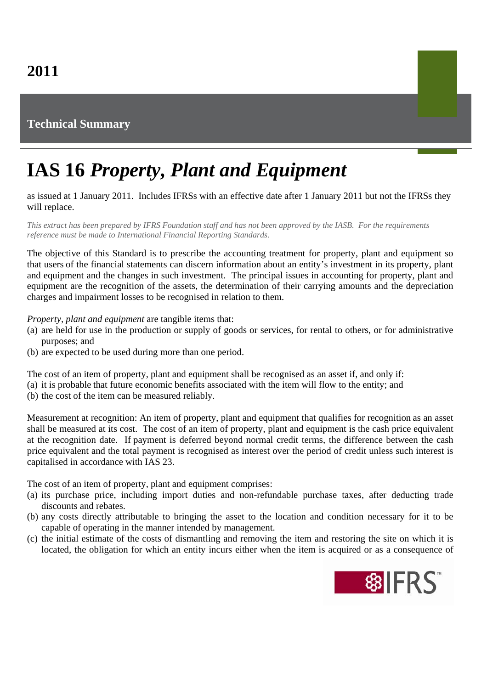## **Technical Summary**

## **IAS 16** *Property, Plant and Equipment*

## as issued at 1 January 2011. Includes IFRSs with an effective date after 1 January 2011 but not the IFRSs they will replace.

*This extract has been prepared by IFRS Foundation staff and has not been approved by the IASB. For the requirements reference must be made to International Financial Reporting Standards.*

The objective of this Standard is to prescribe the accounting treatment for property, plant and equipment so that users of the financial statements can discern information about an entity's investment in its property, plant and equipment and the changes in such investment. The principal issues in accounting for property, plant and equipment are the recognition of the assets, the determination of their carrying amounts and the depreciation charges and impairment losses to be recognised in relation to them.

## *Property, plant and equipment* are tangible items that:

- (a) are held for use in the production or supply of goods or services, for rental to others, or for administrative purposes; and
- (b) are expected to be used during more than one period.

The cost of an item of property, plant and equipment shall be recognised as an asset if, and only if: (a) it is probable that future economic benefits associated with the item will flow to the entity; and

(b) the cost of the item can be measured reliably.

Measurement at recognition: An item of property, plant and equipment that qualifies for recognition as an asset shall be measured at its cost. The cost of an item of property, plant and equipment is the cash price equivalent at the recognition date. If payment is deferred beyond normal credit terms, the difference between the cash price equivalent and the total payment is recognised as interest over the period of credit unless such interest is capitalised in accordance with IAS 23.

The cost of an item of property, plant and equipment comprises:

- (a) its purchase price, including import duties and non-refundable purchase taxes, after deducting trade discounts and rebates.
- (b) any costs directly attributable to bringing the asset to the location and condition necessary for it to be capable of operating in the manner intended by management.
- (c) the initial estimate of the costs of dismantling and removing the item and restoring the site on which it is located, the obligation for which an entity incurs either when the item is acquired or as a consequence of